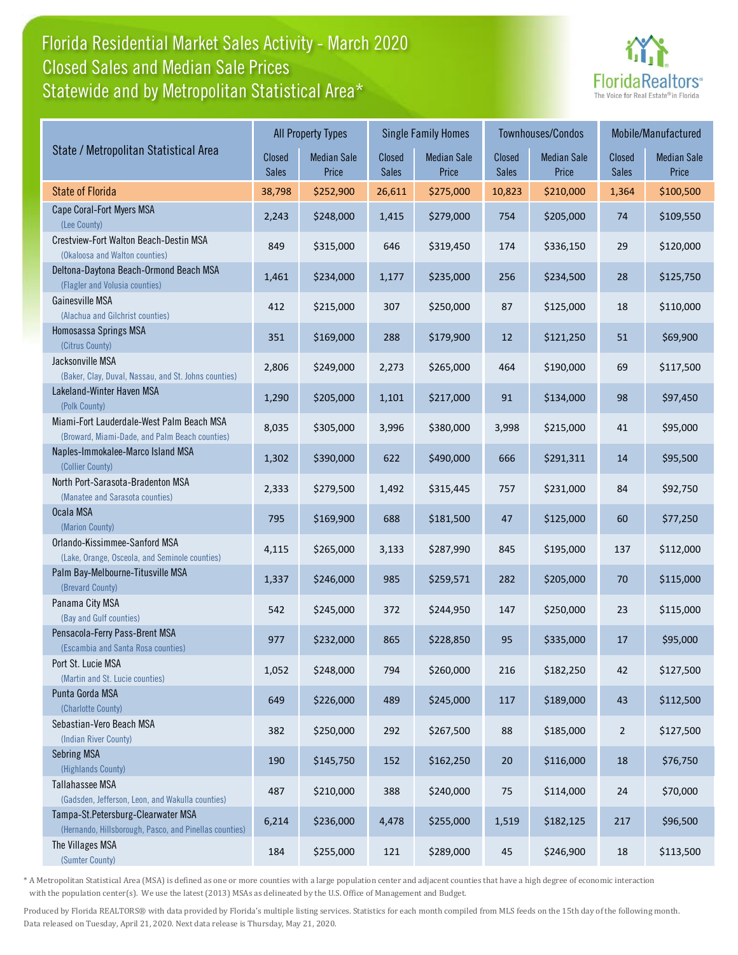### Florida Residential Market Sales Activity - March 2020 Statewide and by Metropolitan Statistical Area\* Closed Sales and Median Sale Prices



|                                                                                              |                        | <b>All Property Types</b>   |                        | <b>Single Family Homes</b>  |                        | Townhouses/Condos           | Mobile/Manufactured    |                             |
|----------------------------------------------------------------------------------------------|------------------------|-----------------------------|------------------------|-----------------------------|------------------------|-----------------------------|------------------------|-----------------------------|
| State / Metropolitan Statistical Area                                                        | Closed<br><b>Sales</b> | <b>Median Sale</b><br>Price | Closed<br><b>Sales</b> | <b>Median Sale</b><br>Price | <b>Closed</b><br>Sales | <b>Median Sale</b><br>Price | Closed<br><b>Sales</b> | <b>Median Sale</b><br>Price |
| <b>State of Florida</b>                                                                      | 38,798                 | \$252,900                   | 26,611                 | \$275,000                   | 10,823                 | \$210,000                   | 1,364                  | \$100,500                   |
| Cape Coral-Fort Myers MSA<br>(Lee County)                                                    | 2,243                  | \$248,000                   | 1,415                  | \$279,000                   | 754                    | \$205,000                   | 74                     | \$109,550                   |
| Crestview-Fort Walton Beach-Destin MSA<br>(Okaloosa and Walton counties)                     | 849                    | \$315,000                   | 646                    | \$319,450                   | 174                    | \$336,150                   | 29                     | \$120,000                   |
| Deltona-Daytona Beach-Ormond Beach MSA<br>(Flagler and Volusia counties)                     | 1,461                  | \$234,000                   | 1,177                  | \$235,000                   | 256                    | \$234,500                   | 28                     | \$125,750                   |
| Gainesville MSA<br>(Alachua and Gilchrist counties)                                          | 412                    | \$215,000                   | 307                    | \$250,000                   | 87                     | \$125,000                   | 18                     | \$110,000                   |
| Homosassa Springs MSA<br>(Citrus County)                                                     | 351                    | \$169,000                   | 288                    | \$179,900                   | 12                     | \$121,250                   | 51                     | \$69,900                    |
| Jacksonville MSA<br>(Baker, Clay, Duval, Nassau, and St. Johns counties)                     | 2,806                  | \$249,000                   | 2,273                  | \$265,000                   | 464                    | \$190,000                   | 69                     | \$117,500                   |
| Lakeland-Winter Haven MSA<br>(Polk County)                                                   | 1,290                  | \$205,000                   | 1,101                  | \$217,000                   | 91                     | \$134,000                   | 98                     | \$97,450                    |
| Miami-Fort Lauderdale-West Palm Beach MSA<br>(Broward, Miami-Dade, and Palm Beach counties)  | 8,035                  | \$305,000                   | 3,996                  | \$380,000                   | 3,998                  | \$215,000                   | 41                     | \$95,000                    |
| Naples-Immokalee-Marco Island MSA<br>(Collier County)                                        | 1,302                  | \$390,000                   | 622                    | \$490,000                   | 666                    | \$291,311                   | 14                     | \$95,500                    |
| North Port-Sarasota-Bradenton MSA<br>(Manatee and Sarasota counties)                         | 2,333                  | \$279,500                   | 1,492                  | \$315,445                   | 757                    | \$231,000                   | 84                     | \$92,750                    |
| Ocala MSA<br>(Marion County)                                                                 | 795                    | \$169,900                   | 688                    | \$181,500                   | 47                     | \$125,000                   | 60                     | \$77,250                    |
| Orlando-Kissimmee-Sanford MSA<br>(Lake, Orange, Osceola, and Seminole counties)              | 4,115                  | \$265,000                   | 3,133                  | \$287,990                   | 845                    | \$195,000                   | 137                    | \$112,000                   |
| Palm Bay-Melbourne-Titusville MSA<br>(Brevard County)                                        | 1,337                  | \$246,000                   | 985                    | \$259,571                   | 282                    | \$205,000                   | 70                     | \$115,000                   |
| Panama City MSA<br>(Bay and Gulf counties)                                                   | 542                    | \$245,000                   | 372                    | \$244,950                   | 147                    | \$250,000                   | 23                     | \$115,000                   |
| Pensacola-Ferry Pass-Brent MSA<br>(Escambia and Santa Rosa counties)                         | 977                    | \$232,000                   | 865                    | \$228,850                   | 95                     | \$335,000                   | 17                     | \$95,000                    |
| Port St. Lucie MSA<br>(Martin and St. Lucie counties)                                        | 1,052                  | \$248,000                   | 794                    | \$260,000                   | 216                    | \$182,250                   | 42                     | \$127,500                   |
| Punta Gorda MSA<br>(Charlotte County)                                                        | 649                    | \$226,000                   | 489                    | \$245,000                   | 117                    | \$189,000                   | 43                     | \$112,500                   |
| Sebastian-Vero Beach MSA<br>(Indian River County)                                            | 382                    | \$250,000                   | 292                    | \$267,500                   | 88                     | \$185,000                   | $\overline{2}$         | \$127,500                   |
| <b>Sebring MSA</b><br>(Highlands County)                                                     | 190                    | \$145,750                   | 152                    | \$162,250                   | $20\,$                 | \$116,000                   | 18                     | \$76,750                    |
| Tallahassee MSA<br>(Gadsden, Jefferson, Leon, and Wakulla counties)                          | 487                    | \$210,000                   | 388                    | \$240,000                   | 75                     | \$114,000                   | 24                     | \$70,000                    |
| Tampa-St.Petersburg-Clearwater MSA<br>(Hernando, Hillsborough, Pasco, and Pinellas counties) | 6,214                  | \$236,000                   | 4,478                  | \$255,000                   | 1,519                  | \$182,125                   | 217                    | \$96,500                    |
| The Villages MSA<br>(Sumter County)                                                          | 184                    | \$255,000                   | 121                    | \$289,000                   | 45                     | \$246,900                   | 18                     | \$113,500                   |

\* A Metropolitan Statistical Area (MSA) is defined as one or more counties with a large population center and adjacent counties that have a high degree of economic interaction with the population center(s). We use the latest (2013) MSAs as delineated by the U.S. Office of Management and Budget.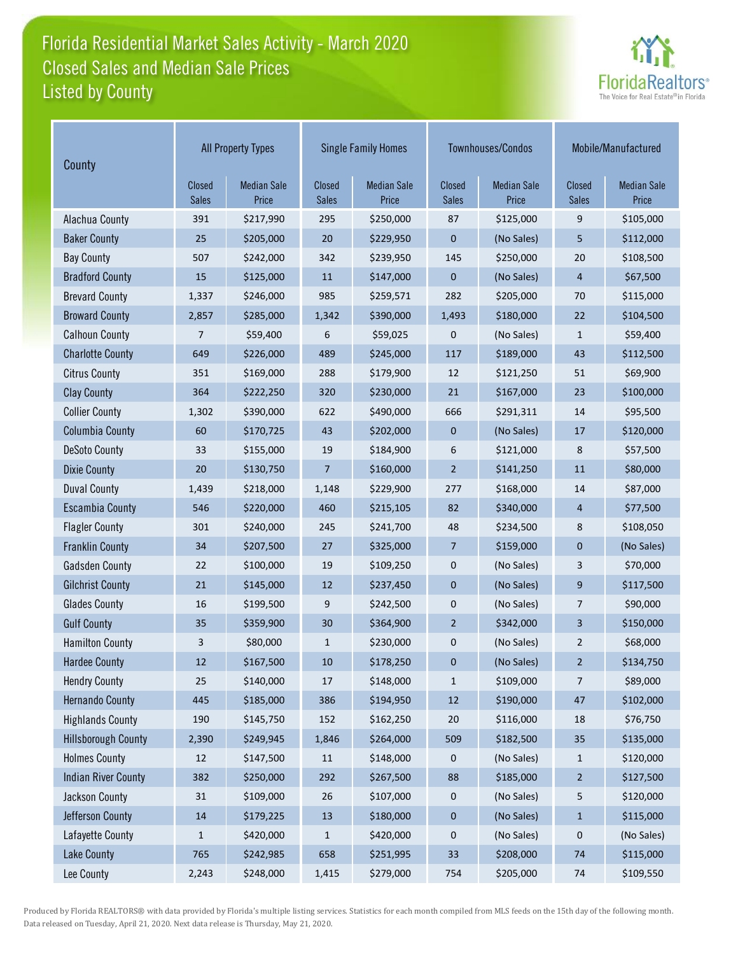# Florida Residential Market Sales Activity - March 2020 Listed by County Closed Sales and Median Sale Prices



| County                     | <b>All Property Types</b> |                             |                        | <b>Single Family Homes</b>  |                        | Townhouses/Condos           | Mobile/Manufactured           |                             |
|----------------------------|---------------------------|-----------------------------|------------------------|-----------------------------|------------------------|-----------------------------|-------------------------------|-----------------------------|
|                            | Closed<br>Sales           | <b>Median Sale</b><br>Price | Closed<br><b>Sales</b> | <b>Median Sale</b><br>Price | Closed<br><b>Sales</b> | <b>Median Sale</b><br>Price | <b>Closed</b><br><b>Sales</b> | <b>Median Sale</b><br>Price |
| Alachua County             | 391                       | \$217,990                   | 295                    | \$250,000                   | 87                     | \$125,000                   | 9                             | \$105,000                   |
| <b>Baker County</b>        | 25                        | \$205,000                   | 20                     | \$229,950                   | 0                      | (No Sales)                  | 5                             | \$112,000                   |
| <b>Bay County</b>          | 507                       | \$242,000                   | 342                    | \$239,950                   | 145                    | \$250,000                   | 20                            | \$108,500                   |
| <b>Bradford County</b>     | 15                        | \$125,000                   | 11                     | \$147,000                   | 0                      | (No Sales)                  | $\overline{4}$                | \$67,500                    |
| <b>Brevard County</b>      | 1,337                     | \$246,000                   | 985                    | \$259,571                   | 282                    | \$205,000                   | 70                            | \$115,000                   |
| <b>Broward County</b>      | 2,857                     | \$285,000                   | 1,342                  | \$390,000                   | 1,493                  | \$180,000                   | 22                            | \$104,500                   |
| <b>Calhoun County</b>      | 7                         | \$59,400                    | 6                      | \$59,025                    | 0                      | (No Sales)                  | $\mathbf{1}$                  | \$59,400                    |
| <b>Charlotte County</b>    | 649                       | \$226,000                   | 489                    | \$245,000                   | 117                    | \$189,000                   | 43                            | \$112,500                   |
| <b>Citrus County</b>       | 351                       | \$169,000                   | 288                    | \$179,900                   | 12                     | \$121,250                   | 51                            | \$69,900                    |
| <b>Clay County</b>         | 364                       | \$222,250                   | 320                    | \$230,000                   | 21                     | \$167,000                   | 23                            | \$100,000                   |
| <b>Collier County</b>      | 1,302                     | \$390,000                   | 622                    | \$490,000                   | 666                    | \$291,311                   | 14                            | \$95,500                    |
| <b>Columbia County</b>     | 60                        | \$170,725                   | 43                     | \$202,000                   | $\mathbf 0$            | (No Sales)                  | 17                            | \$120,000                   |
| <b>DeSoto County</b>       | 33                        | \$155,000                   | 19                     | \$184,900                   | 6                      | \$121,000                   | 8                             | \$57,500                    |
| <b>Dixie County</b>        | 20                        | \$130,750                   | 7                      | \$160,000                   | $\overline{2}$         | \$141,250                   | 11                            | \$80,000                    |
| <b>Duval County</b>        | 1,439                     | \$218,000                   | 1,148                  | \$229,900                   | 277                    | \$168,000                   | 14                            | \$87,000                    |
| <b>Escambia County</b>     | 546                       | \$220,000                   | 460                    | \$215,105                   | 82                     | \$340,000                   | $\overline{4}$                | \$77,500                    |
| <b>Flagler County</b>      | 301                       | \$240,000                   | 245                    | \$241,700                   | 48                     | \$234,500                   | 8                             | \$108,050                   |
| <b>Franklin County</b>     | 34                        | \$207,500                   | 27                     | \$325,000                   | $\overline{7}$         | \$159,000                   | $\mathbf 0$                   | (No Sales)                  |
| <b>Gadsden County</b>      | 22                        | \$100,000                   | 19                     | \$109,250                   | 0                      | (No Sales)                  | 3                             | \$70,000                    |
| <b>Gilchrist County</b>    | 21                        | \$145,000                   | 12                     | \$237,450                   | 0                      | (No Sales)                  | 9                             | \$117,500                   |
| <b>Glades County</b>       | 16                        | \$199,500                   | 9                      | \$242,500                   | 0                      | (No Sales)                  | 7                             | \$90,000                    |
| <b>Gulf County</b>         | 35                        | \$359,900                   | 30                     | \$364,900                   | $\overline{2}$         | \$342,000                   | $\overline{3}$                | \$150,000                   |
| <b>Hamilton County</b>     | 3                         | \$80,000                    | $\mathbf{1}$           | \$230,000                   | 0                      | (No Sales)                  | $\overline{2}$                | \$68,000                    |
| <b>Hardee County</b>       | 12                        | \$167,500                   | 10                     | \$178,250                   | 0                      | (No Sales)                  | $\overline{2}$                | \$134,750                   |
| <b>Hendry County</b>       | 25                        | \$140,000                   | 17                     | \$148,000                   | $\mathbf{1}$           | \$109,000                   | 7                             | \$89,000                    |
| <b>Hernando County</b>     | 445                       | \$185,000                   | 386                    | \$194,950                   | $12\,$                 | \$190,000                   | $47\,$                        | \$102,000                   |
| <b>Highlands County</b>    | 190                       | \$145,750                   | 152                    | \$162,250                   | $20\,$                 | \$116,000                   | 18                            | \$76,750                    |
| <b>Hillsborough County</b> | 2,390                     | \$249,945                   | 1,846                  | \$264,000                   | 509                    | \$182,500                   | 35                            | \$135,000                   |
| <b>Holmes County</b>       | 12                        | \$147,500                   | 11                     | \$148,000                   | 0                      | (No Sales)                  | $\mathbf{1}$                  | \$120,000                   |
| <b>Indian River County</b> | 382                       | \$250,000                   | 292                    | \$267,500                   | 88                     | \$185,000                   | $\sqrt{2}$                    | \$127,500                   |
| Jackson County             | 31                        | \$109,000                   | 26                     | \$107,000                   | 0                      | (No Sales)                  | 5                             | \$120,000                   |
| Jefferson County           | $14\,$                    | \$179,225                   | 13                     | \$180,000                   | 0                      | (No Sales)                  | $\mathbf 1$                   | \$115,000                   |
| Lafayette County           | $\mathbf{1}$              | \$420,000                   | $\mathbf{1}$           | \$420,000                   | 0                      | (No Sales)                  | 0                             | (No Sales)                  |
| Lake County                | 765                       | \$242,985                   | 658                    | \$251,995                   | 33                     | \$208,000                   | 74                            | \$115,000                   |
| Lee County                 | 2,243                     | \$248,000                   | 1,415                  | \$279,000                   | 754                    | \$205,000                   | 74                            | \$109,550                   |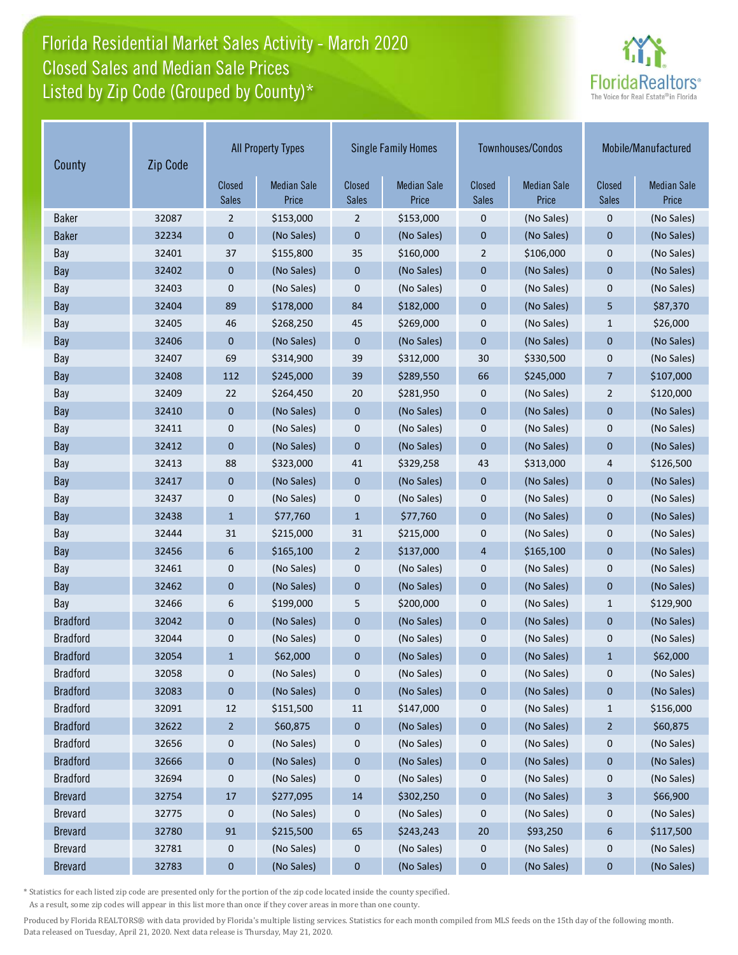# Florida Residential Market Sales Activity - March 2020 Listed by Zip Code (Grouped by County)\* Closed Sales and Median Sale Prices



| County          | Zip Code |                        | <b>All Property Types</b>   | <b>Single Family Homes</b> |                             | Townhouses/Condos      |                             | Mobile/Manufactured    |                             |
|-----------------|----------|------------------------|-----------------------------|----------------------------|-----------------------------|------------------------|-----------------------------|------------------------|-----------------------------|
|                 |          | Closed<br><b>Sales</b> | <b>Median Sale</b><br>Price | Closed<br>Sales            | <b>Median Sale</b><br>Price | Closed<br><b>Sales</b> | <b>Median Sale</b><br>Price | Closed<br><b>Sales</b> | <b>Median Sale</b><br>Price |
| <b>Baker</b>    | 32087    | $\overline{2}$         | \$153,000                   | $\overline{2}$             | \$153,000                   | $\pmb{0}$              | (No Sales)                  | $\pmb{0}$              | (No Sales)                  |
| <b>Baker</b>    | 32234    | $\mathbf 0$            | (No Sales)                  | 0                          | (No Sales)                  | $\mathbf 0$            | (No Sales)                  | $\mathbf 0$            | (No Sales)                  |
| Bay             | 32401    | 37                     | \$155,800                   | 35                         | \$160,000                   | $\overline{2}$         | \$106,000                   | $\mathbf{0}$           | (No Sales)                  |
| Bay             | 32402    | $\mathbf 0$            | (No Sales)                  | $\mathbf{0}$               | (No Sales)                  | $\mathbf 0$            | (No Sales)                  | $\mathbf 0$            | (No Sales)                  |
| Bay             | 32403    | 0                      | (No Sales)                  | 0                          | (No Sales)                  | 0                      | (No Sales)                  | 0                      | (No Sales)                  |
| Bay             | 32404    | 89                     | \$178,000                   | 84                         | \$182,000                   | $\mathbf 0$            | (No Sales)                  | 5                      | \$87,370                    |
| Bay             | 32405    | 46                     | \$268,250                   | 45                         | \$269,000                   | 0                      | (No Sales)                  | $\mathbf{1}$           | \$26,000                    |
| Bay             | 32406    | $\mathbf 0$            | (No Sales)                  | 0                          | (No Sales)                  | $\mathbf 0$            | (No Sales)                  | $\mathbf 0$            | (No Sales)                  |
| Bay             | 32407    | 69                     | \$314,900                   | 39                         | \$312,000                   | 30                     | \$330,500                   | 0                      | (No Sales)                  |
| Bay             | 32408    | 112                    | \$245,000                   | 39                         | \$289,550                   | 66                     | \$245,000                   | $\overline{7}$         | \$107,000                   |
| Bay             | 32409    | 22                     | \$264,450                   | 20                         | \$281,950                   | 0                      | (No Sales)                  | $\overline{2}$         | \$120,000                   |
| Bay             | 32410    | $\mathbf 0$            | (No Sales)                  | 0                          | (No Sales)                  | $\mathbf 0$            | (No Sales)                  | $\mathbf 0$            | (No Sales)                  |
| Bay             | 32411    | 0                      | (No Sales)                  | 0                          | (No Sales)                  | 0                      | (No Sales)                  | $\mathbf 0$            | (No Sales)                  |
| Bay             | 32412    | 0                      | (No Sales)                  | 0                          | (No Sales)                  | $\mathbf 0$            | (No Sales)                  | $\mathbf 0$            | (No Sales)                  |
| Bay             | 32413    | 88                     | \$323,000                   | 41                         | \$329,258                   | 43                     | \$313,000                   | 4                      | \$126,500                   |
| Bay             | 32417    | $\mathbf{0}$           | (No Sales)                  | $\mathbf{0}$               | (No Sales)                  | $\mathbf{0}$           | (No Sales)                  | $\mathbf 0$            | (No Sales)                  |
| Bay             | 32437    | 0                      | (No Sales)                  | 0                          | (No Sales)                  | 0                      | (No Sales)                  | 0                      | (No Sales)                  |
| Bay             | 32438    | $\mathbf{1}$           | \$77,760                    | $\mathbf{1}$               | \$77,760                    | $\overline{0}$         | (No Sales)                  | $\mathbf{0}$           | (No Sales)                  |
| Bay             | 32444    | 31                     | \$215,000                   | 31                         | \$215,000                   | 0                      | (No Sales)                  | $\mathbf 0$            | (No Sales)                  |
| Bay             | 32456    | 6                      | \$165,100                   | $\overline{2}$             | \$137,000                   | $\overline{4}$         | \$165,100                   | $\mathbf 0$            | (No Sales)                  |
| Bay             | 32461    | 0                      | (No Sales)                  | 0                          | (No Sales)                  | 0                      | (No Sales)                  | 0                      | (No Sales)                  |
| Bay             | 32462    | $\pmb{0}$              | (No Sales)                  | 0                          | (No Sales)                  | $\mathbf 0$            | (No Sales)                  | $\mathbf 0$            | (No Sales)                  |
| Bay             | 32466    | 6                      | \$199,000                   | 5                          | \$200,000                   | 0                      | (No Sales)                  | $\mathbf{1}$           | \$129,900                   |
| <b>Bradford</b> | 32042    | 0                      | (No Sales)                  | 0                          | (No Sales)                  | $\mathbf 0$            | (No Sales)                  | $\mathbf 0$            | (No Sales)                  |
| <b>Bradford</b> | 32044    | 0                      | (No Sales)                  | 0                          | (No Sales)                  | 0                      | (No Sales)                  | 0                      | (No Sales)                  |
| <b>Bradford</b> | 32054    | $\mathbf{1}$           | \$62,000                    | 0                          | (No Sales)                  | $\mathbf 0$            | (No Sales)                  | $\mathbf{1}$           | \$62,000                    |
| <b>Bradford</b> | 32058    | 0                      | (No Sales)                  | 0                          | (No Sales)                  | $\pmb{0}$              | (No Sales)                  | $\pmb{0}$              | (No Sales)                  |
| <b>Bradford</b> | 32083    | $\pmb{0}$              | (No Sales)                  | 0                          | (No Sales)                  | 0                      | (No Sales)                  | 0                      | (No Sales)                  |
| <b>Bradford</b> | 32091    | $12\,$                 | \$151,500                   | $11\,$                     | \$147,000                   | 0                      | (No Sales)                  | $\mathbf{1}$           | \$156,000                   |
| <b>Bradford</b> | 32622    | $\overline{2}$         | \$60,875                    | $\bf{0}$                   | (No Sales)                  | 0                      | (No Sales)                  | $\overline{2}$         | \$60,875                    |
| <b>Bradford</b> | 32656    | $\mathbf 0$            | (No Sales)                  | 0                          | (No Sales)                  | 0                      | (No Sales)                  | 0                      | (No Sales)                  |
| <b>Bradford</b> | 32666    | $\bf{0}$               | (No Sales)                  | 0                          | (No Sales)                  | $\pmb{0}$              | (No Sales)                  | $\pmb{0}$              | (No Sales)                  |
| <b>Bradford</b> | 32694    | 0                      | (No Sales)                  | 0                          | (No Sales)                  | 0                      | (No Sales)                  | 0                      | (No Sales)                  |
| <b>Brevard</b>  | 32754    | 17                     | \$277,095                   | 14                         | \$302,250                   | 0                      | (No Sales)                  | 3                      | \$66,900                    |
| <b>Brevard</b>  | 32775    | $\mathbf 0$            | (No Sales)                  | 0                          | (No Sales)                  | 0                      | (No Sales)                  | 0                      | (No Sales)                  |
| <b>Brevard</b>  | 32780    | 91                     | \$215,500                   | 65                         | \$243,243                   | 20                     | \$93,250                    | 6                      | \$117,500                   |
| <b>Brevard</b>  | 32781    | $\mathbf 0$            | (No Sales)                  | 0                          | (No Sales)                  | 0                      | (No Sales)                  | 0                      | (No Sales)                  |
| <b>Brevard</b>  | 32783    | $\bf{0}$               | (No Sales)                  | $\bf{0}$                   | (No Sales)                  | 0                      | (No Sales)                  | 0                      | (No Sales)                  |

\* Statistics for each listed zip code are presented only for the portion of the zip code located inside the county specified.

As a result, some zip codes will appear in this list more than once if they cover areas in more than one county.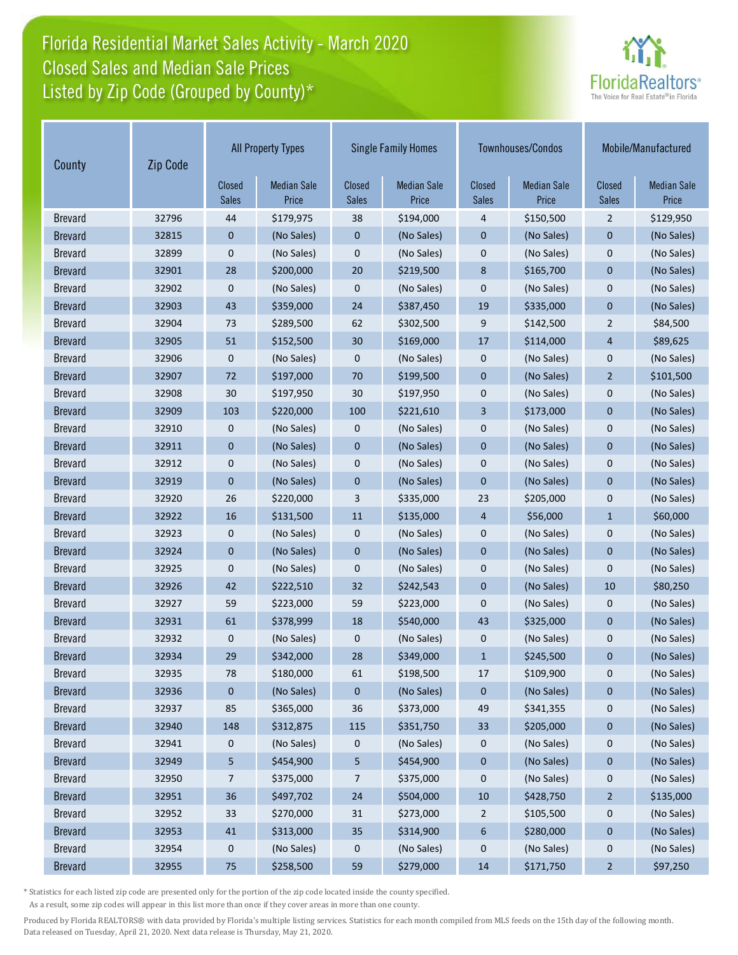# Florida Residential Market Sales Activity - March 2020 Listed by Zip Code (Grouped by County)\* Closed Sales and Median Sale Prices



| Zip Code<br>County |       | <b>All Property Types</b> |                             | <b>Single Family Homes</b> |                             |                        | Townhouses/Condos           | Mobile/Manufactured           |                             |
|--------------------|-------|---------------------------|-----------------------------|----------------------------|-----------------------------|------------------------|-----------------------------|-------------------------------|-----------------------------|
|                    |       | Closed<br><b>Sales</b>    | <b>Median Sale</b><br>Price | Closed<br><b>Sales</b>     | <b>Median Sale</b><br>Price | Closed<br><b>Sales</b> | <b>Median Sale</b><br>Price | <b>Closed</b><br><b>Sales</b> | <b>Median Sale</b><br>Price |
| <b>Brevard</b>     | 32796 | 44                        | \$179,975                   | 38                         | \$194,000                   | 4                      | \$150,500                   | $\overline{2}$                | \$129,950                   |
| <b>Brevard</b>     | 32815 | 0                         | (No Sales)                  | 0                          | (No Sales)                  | $\mathbf 0$            | (No Sales)                  | $\mathbf 0$                   | (No Sales)                  |
| <b>Brevard</b>     | 32899 | 0                         | (No Sales)                  | 0                          | (No Sales)                  | $\pmb{0}$              | (No Sales)                  | $\mathbf 0$                   | (No Sales)                  |
| <b>Brevard</b>     | 32901 | 28                        | \$200,000                   | 20                         | \$219,500                   | 8                      | \$165,700                   | $\mathbf 0$                   | (No Sales)                  |
| <b>Brevard</b>     | 32902 | 0                         | (No Sales)                  | 0                          | (No Sales)                  | $\mathbf 0$            | (No Sales)                  | $\mathbf 0$                   | (No Sales)                  |
| <b>Brevard</b>     | 32903 | 43                        | \$359,000                   | 24                         | \$387,450                   | 19                     | \$335,000                   | $\overline{0}$                | (No Sales)                  |
| <b>Brevard</b>     | 32904 | 73                        | \$289,500                   | 62                         | \$302,500                   | 9                      | \$142,500                   | $\overline{2}$                | \$84,500                    |
| <b>Brevard</b>     | 32905 | 51                        | \$152,500                   | 30                         | \$169,000                   | 17                     | \$114,000                   | $\overline{4}$                | \$89,625                    |
| <b>Brevard</b>     | 32906 | 0                         | (No Sales)                  | 0                          | (No Sales)                  | $\boldsymbol{0}$       | (No Sales)                  | $\mathbf 0$                   | (No Sales)                  |
| <b>Brevard</b>     | 32907 | 72                        | \$197,000                   | 70                         | \$199,500                   | $\mathbf 0$            | (No Sales)                  | $\overline{2}$                | \$101,500                   |
| <b>Brevard</b>     | 32908 | 30                        | \$197,950                   | 30                         | \$197,950                   | $\mathbf 0$            | (No Sales)                  | $\mathbf 0$                   | (No Sales)                  |
| <b>Brevard</b>     | 32909 | 103                       | \$220,000                   | 100                        | \$221,610                   | 3                      | \$173,000                   | $\mathbf 0$                   | (No Sales)                  |
| <b>Brevard</b>     | 32910 | 0                         | (No Sales)                  | 0                          | (No Sales)                  | $\boldsymbol{0}$       | (No Sales)                  | $\mathbf 0$                   | (No Sales)                  |
| <b>Brevard</b>     | 32911 | 0                         | (No Sales)                  | $\pmb{0}$                  | (No Sales)                  | $\mathbf 0$            | (No Sales)                  | $\mathbf 0$                   | (No Sales)                  |
| <b>Brevard</b>     | 32912 | 0                         | (No Sales)                  | 0                          | (No Sales)                  | $\mathbf 0$            | (No Sales)                  | $\mathbf 0$                   | (No Sales)                  |
| <b>Brevard</b>     | 32919 | $\overline{0}$            | (No Sales)                  | 0                          | (No Sales)                  | $\mathbf 0$            | (No Sales)                  | $\mathbf 0$                   | (No Sales)                  |
| <b>Brevard</b>     | 32920 | 26                        | \$220,000                   | 3                          | \$335,000                   | 23                     | \$205,000                   | $\mathbf 0$                   | (No Sales)                  |
| <b>Brevard</b>     | 32922 | 16                        | \$131,500                   | 11                         | \$135,000                   | $\overline{4}$         | \$56,000                    | $\mathbf{1}$                  | \$60,000                    |
| <b>Brevard</b>     | 32923 | 0                         | (No Sales)                  | 0                          | (No Sales)                  | $\mathbf 0$            | (No Sales)                  | 0                             | (No Sales)                  |
| <b>Brevard</b>     | 32924 | 0                         | (No Sales)                  | $\mathbf 0$                | (No Sales)                  | $\mathbf 0$            | (No Sales)                  | $\mathbf 0$                   | (No Sales)                  |
| <b>Brevard</b>     | 32925 | 0                         | (No Sales)                  | 0                          | (No Sales)                  | $\mathbf 0$            | (No Sales)                  | $\mathbf 0$                   | (No Sales)                  |
| <b>Brevard</b>     | 32926 | 42                        | \$222,510                   | 32                         | \$242,543                   | $\pmb{0}$              | (No Sales)                  | 10                            | \$80,250                    |
| <b>Brevard</b>     | 32927 | 59                        | \$223,000                   | 59                         | \$223,000                   | $\mathbf 0$            | (No Sales)                  | $\mathbf 0$                   | (No Sales)                  |
| <b>Brevard</b>     | 32931 | 61                        | \$378,999                   | 18                         | \$540,000                   | 43                     | \$325,000                   | $\mathbf 0$                   | (No Sales)                  |
| <b>Brevard</b>     | 32932 | 0                         | (No Sales)                  | 0                          | (No Sales)                  | $\mathbf 0$            | (No Sales)                  | 0                             | (No Sales)                  |
| <b>Brevard</b>     | 32934 | 29                        | \$342,000                   | 28                         | \$349,000                   | $\mathbf{1}$           | \$245,500                   | $\mathbf 0$                   | (No Sales)                  |
| <b>Brevard</b>     | 32935 | 78                        | \$180,000                   | 61                         | \$198,500                   | 17                     | \$109,900                   | 0                             | (No Sales)                  |
| <b>Brevard</b>     | 32936 | 0                         | (No Sales)                  | 0                          | (No Sales)                  | $\pmb{0}$              | (No Sales)                  | $\pmb{0}$                     | (No Sales)                  |
| <b>Brevard</b>     | 32937 | 85                        | \$365,000                   | 36                         | \$373,000                   | 49                     | \$341,355                   | 0                             | (No Sales)                  |
| <b>Brevard</b>     | 32940 | 148                       | \$312,875                   | 115                        | \$351,750                   | 33                     | \$205,000                   | $\pmb{0}$                     | (No Sales)                  |
| <b>Brevard</b>     | 32941 | 0                         | (No Sales)                  | 0                          | (No Sales)                  | 0                      | (No Sales)                  | 0                             | (No Sales)                  |
| <b>Brevard</b>     | 32949 | 5                         | \$454,900                   | 5                          | \$454,900                   | $\pmb{0}$              | (No Sales)                  | $\pmb{0}$                     | (No Sales)                  |
| <b>Brevard</b>     | 32950 | 7                         | \$375,000                   | 7                          | \$375,000                   | 0                      | (No Sales)                  | 0                             | (No Sales)                  |
| <b>Brevard</b>     | 32951 | 36                        | \$497,702                   | 24                         | \$504,000                   | 10                     | \$428,750                   | $\overline{2}$                | \$135,000                   |
| <b>Brevard</b>     | 32952 | 33                        | \$270,000                   | 31                         | \$273,000                   | $\overline{c}$         | \$105,500                   | 0                             | (No Sales)                  |
| <b>Brevard</b>     | 32953 | 41                        | \$313,000                   | 35                         | \$314,900                   | 6                      | \$280,000                   | 0                             | (No Sales)                  |
| <b>Brevard</b>     | 32954 | 0                         | (No Sales)                  | 0                          | (No Sales)                  | 0                      | (No Sales)                  | $\mathbf 0$                   | (No Sales)                  |
| <b>Brevard</b>     | 32955 | $75$                      | \$258,500                   | 59                         | \$279,000                   | 14                     | \$171,750                   | $\overline{a}$                | \$97,250                    |

\* Statistics for each listed zip code are presented only for the portion of the zip code located inside the county specified.

As a result, some zip codes will appear in this list more than once if they cover areas in more than one county.